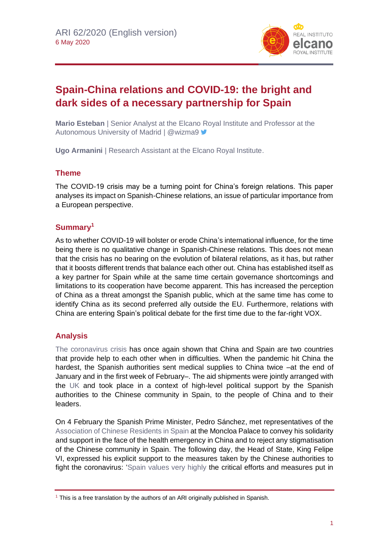

# **Spain-China relations and COVID-19: the bright and dark sides of a necessary partnership for Spain**

**Mario Esteban** | Senior Analyst at the Elcano Royal Institute and Professor at the Autonomous University of Madrid | @wizma9

**Ugo Armanini** | Research Assistant at the Elcano Royal Institute.

## **Theme**

The COVID-19 crisis may be a turning point for China's foreign relations. This paper analyses its impact on Spanish-Chinese relations, an issue of particular importance from a European perspective.

## **Summary<sup>1</sup>**

As to whether COVID-19 will bolster or erode China's international influence, for the time being there is no qualitative change in Spanish-Chinese relations. This does not mean that the crisis has no bearing on the evolution of bilateral relations, as it has, but rather that it boosts different trends that balance each other out. China has established itself as a key partner for Spain while at the same time certain governance shortcomings and limitations to its cooperation have become apparent. This has increased the perception of China as a threat amongst the Spanish public, which at the same time has come to identify China as its second preferred ally outside the EU. Furthermore, relations with China are entering Spain's political debate for the first time due to the far-right VOX.

## **Analysis**

[The coronavirus crisis](https://especiales.realinstitutoelcano.org/coronavirus/?lang=en) has once again shown that China and Spain are two countries that provide help to each other when in difficulties. When the pandemic hit China the hardest, the Spanish authorities sent medical supplies to China twice –at the end of January and in the first week of February–. The aid shipments were jointly arranged with the [UK](https://www.facebook.com/Britishembassymadrid/videos/env%C3%ADo-de-material-m%C3%A9dico-de-reino-unido-y-espa%C3%B1a-a-wuhan/514729786112711/) and took place in a context of high-level political support by the Spanish authorities to the Chinese community in Spain, to the people of China and to their leaders.

On 4 February the Spanish Prime Minister, Pedro Sánchez, met representatives of the [Association of Chinese Residents in Spain](https://twitter.com/sanchezcastejon/status/1224756296022482946) at the Moncloa Palace to convey his solidarity and support in the face of the health emergency in China and to reject any stigmatisation of the Chinese community in Spain. The following day, the Head of State, King Felipe VI, expressed his explicit support to the measures taken by the Chinese authorities to fight the coronavirus: ['Spain values very highly](http://www.exteriores.gob.es/Embajadas/PEKIN/es/Noticias/Paginas/Articulos/20190403_dele_esp.aspx) the critical efforts and measures put in

 $1$  This is a free translation by the authors of an ARI originally published in Spanish.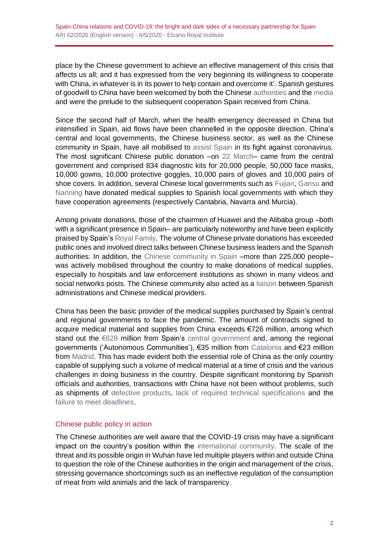place by the Chinese government to achieve an effective management of this crisis that affects us all; and it has expressed from the very beginning its willingness to cooperate with China, in whatever is in its power to help contain and overcome it'. Spanish gestures of goodwill to China have been welcomed by both the Chinese [authorities](https://twitter.com/ChinaEmbEsp/status/1225063226599268352,%20https:/twitter.com/ChinaEmbEsp/status/1225062925762809856) and the [media](http://spanish.xinhuanet.com/2020-02/22/c_138807134.htm) and were the prelude to the subsequent cooperation Spain received from China.

Since the second half of March, when the health emergency decreased in China but intensified in Spain, aid flows have been channelled in the opposite direction. China's central and local governments, the Chinese business sector, as well as the Chinese community in Spain, have all mobilised to [assist Spain](http://spanish.xinhuanet.com/2020-03/25/c_138913408.htm) in its fight against coronavirus. The most significant Chinese public donation –on [22 March–](https://twitter.com/chinaembesp/status/1241780367952162818) came from the central government and comprised 834 diagnostic kits for 20,000 people, 50,000 face masks, 10,000 gowns, 10,000 protective goggles, 10,000 pairs of gloves and 10,000 pairs of shoe covers. In addition, several Chinese local governments such as [Fujian,](https://www.eldiario.es/cantabria/ultima-hora/region-china-Fujian-Cantabria-mascarillas_0_1008949516.html) [Gansu](https://www.navarra.es/es/noticias/2020/03/31/el-hospital-reina-sofia-de-tudela-recibe-51.000-unidades-de-proteccion-sanitaria-donadas-por-la-region-china-de-gansu) and [Nanning](https://www.murcia.com/noticias/2020/04/02-el-ayuntamiento-recibe-un-cargamento-de-4000-mascarillas-quirurgicas-enviadas-desde-la-ciudad-china-de-nanning.asp) have donated medical supplies to Spanish local governments with which they have cooperation agreements (respectively Cantabria, Navarra and Murcia).

Among private donations, those of the chairmen of Huawei and the Alibaba group –both with a significant presence in Spain– are particularly noteworthy and have been explicitly praised by Spain's [Royal Family.](https://twitter.com/CasaReal/status/1242460614137729026) The volume of Chinese private donations has exceeded public ones and involved direct talks between Chinese business leaders and the Spanish authorities. In addition, the [Chinese community in Spain](https://twitter.com/europapress/status/1240348704235716608) –more than 225,000 people– was actively mobilised throughout the country to make donations of medical supplies, especially to hospitals and law enforcement institutions as shown in many videos and social networks posts. The Chinese community also acted as a [liaison](https://www.elmundo.es/madrid/2020/04/09/5e8709fefdddff743b8b45f8.html) between Spanish administrations and Chinese medical providers.

China has been the basic provider of the medical supplies purchased by Spain's central and regional governments to face the pandemic. The amount of contracts signed to acquire medical material and supplies from China exceeds €726 million, among which stand out the [€628](https://www.lamoncloa.gob.es/presidente/intervenciones/Paginas/2020/prsp28032020.aspx) million from Spain's [central government](https://twitter.com/MAECgob/status/1242883065627717632) and, among the regional governments ('Autonomous Communities'), €35 million from [Catalonia](https://www.lavanguardia.com/ciencia/20200408/48382212777/oms-uso-mascarillas-coronavirus-no-reutilizar.html) and €23 million from [Madrid.](https://www.lavanguardia.com/ciencia/20200408/48382212777/oms-uso-mascarillas-coronavirus-no-reutilizar.html) This has made evident both the essential role of China as the only country capable of supplying such a volume of medical material at a time of crisis and the various challenges in doing business in the country. Despite significant monitoring by Spanish officials and authorities, transactions with China have not been without problems, such as shipments of [defective products,](https://elpais.com/sociedad/2020-04-20/el-gobierno-trata-de-recuperar-el-dinero-de-los-test-defectuosos-tras-comprobar-que-el-reemplazo-tampoco-funciona.html) [lack of required technical specifications](https://www.abc.es/sociedad/abci-aterriza-avion-china-material-sanitario-comprado-gobienro-semi-vacio-falta-permisos-202004021141_noticia.html) and the [failure to meet deadlines.](https://www.eldiario.es/politica/China-endurece-controles-importacion-coronavirus_0_1012449855.html)

### Chinese public policy in action

The Chinese authorities are well aware that the COVID-19 crisis may have a significant impact on the country's position within the [international community.](http://www.realinstitutoelcano.org/wps/portal/rielcano_es/contenido?WCM_GLOBAL_CONTEXT=/elcano/elcano_es/zonas_es/comentario-esteban-crisis-coronavirus-estatus-internacional-china-cuando-geopolitica-y-politica-domestica-no-van-de-la-mano) The scale of the threat and its possible origin in Wuhan have led multiple players within and outside China to question the role of the Chinese authorities in the origin and management of the crisis, stressing governance shortcomings such as an ineffective regulation of the consumption of meat from wild animals and the lack of transparency.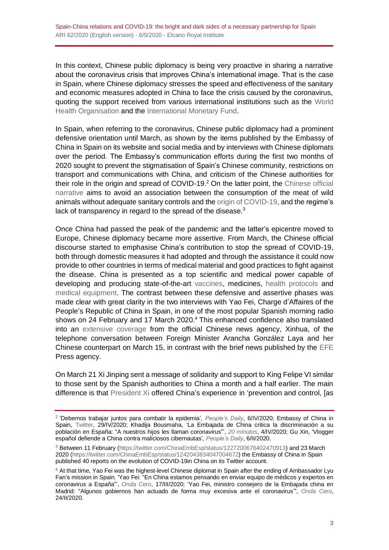In this context, Chinese public diplomacy is being very proactive in sharing a narrative about the coronavirus crisis that improves China's international image. That is the case in Spain, where Chinese diplomacy stresses the speed and effectiveness of the sanitary and economic measures adopted in China to face the crisis caused by the coronavirus, quoting the support received from various international institutions such as the [World](https://twitter.com/ChinaEmbEsp/status/1232603242988789760)  [Health Organisation](https://twitter.com/ChinaEmbEsp/status/1232603242988789760) and the [International Monetary Fund.](https://twitter.com/ChinaEmbEsp/status/1244897331201409025)

In Spain, when referring to the coronavirus, Chinese public diplomacy had a prominent defensive orientation until March, as shown by the items published by the Embassy of China in Spain on its website and social media and by interviews with Chinese diplomats over the period. The Embassy's communication efforts during the first two months of 2020 sought to prevent the stigmatisation of Spain's Chinese community, restrictions on transport and communications with China, and criticism of the Chinese authorities for their role in the origin and spread of  $COVID-19<sup>2</sup>$  On the latter point, the Chinese official [narrative](https://twitter.com/ChinaEmbEsp/status/1233392171816030209) aims to avoid an association between the consumption of the meat of wild animals without adequate sanitary controls and the [origin of COVID-19,](https://twitter.com/ChinaEmbEsp/status/1233392171816030209) and the regime's lack of transparency in regard to the spread of the disease. $3$ 

Once China had passed the peak of the pandemic and the latter's epicentre moved to Europe, Chinese diplomacy became more assertive. From March, the Chinese official discourse started to emphasise China's contribution to stop the spread of COVID-19, both through domestic measures it had adopted and through the assistance it could now provide to other countries in terms of medical material and good practices to fight against the disease. China is presented as a top scientific and medical power capable of developing and producing state-of-the-art [vaccines,](https://twitter.com/ChinaEmbEsp/status/1244949854272524288) medicines, [health protocols](https://twitter.com/ChinaEmbEsp/status/1246726939982868481) and [medical equipment.](https://twitter.com/ChinaEmbEsp/status/1245655528593707008) The contrast between these defensive and assertive phases was made clear with great clarity in the two interviews with Yao Fei, Charge d'Affaires of the People's Republic of China in Spain, in one of the most popular Spanish morning radio shows on 24 February and 17 March 2020.<sup>4</sup> This enhanced confidence also translated into an [extensive coverage](http://www.china.org.cn/world/Off_the_Wire/2020-03/16/content_75817649.htm) from the official Chinese news agency, Xinhua, of the telephone conversation between Foreign Minister Arancha González Laya and her Chinese counterpart on March 15, in contrast with the brief news published by the [EFE](https://www.efe.com/efe/espana/politica/exteriores-trata-de-agilizar-los-intercambios-comerciales-con-china/10002-4196285) Press agency.

On March 21 Xi Jinping sent a message of solidarity and support to King Felipe VI similar to those sent by the Spanish authorities to China a month and a half earlier. The main difference is that [President Xi](https://www.fmprc.gov.cn/esp/zxxx/t1760077.shtml) offered China's experience in 'prevention and control, [as

<sup>2</sup> 'Debemos trabajar juntos para combatir la epidemia', *People's Daily*, 6/IV/2020; Embassy of China in Spain, [Twitter,](https://twitter.com/ChinaEmbEsp/status/1222484265163743232) 29/IV/2020; Khadija Bousmaha, 'La Embajada de China critica la discriminación a su población en España: "A nuestros hijos les llaman coronavirus"', *[20 minutos](https://www.20minutos.es/noticia/4140902/0/embajada-china-racismo-coronavirus-no-tiene-pasaporte/)*, 4/IV/2020; Gu Xin, 'Vlogger español defiende a China contra maliciosos cibernautas', *[Peop](http://spanish.peopledaily.com.cn/n3/2020/0206/c31614-9654930.html)le's Daily*, 6/II/2020.

<sup>&</sup>lt;sup>3</sup> Between 11 February [\(https://twitter.com/ChinaEmbEsp/status/1227200676402470913\)](https://twitter.com/ChinaEmbEsp/status/1227200676402470913) and 23 March 2020 [\(https://twitter.com/ChinaEmbEsp/status/1242043834047004672\)](https://twitter.com/ChinaEmbEsp/status/1242043834047004672) the Embassy of China in Spain published 40 reports on the evolution of COVID-19in China on its Twitter account.

<sup>4</sup> At that time, Yao Fei was the highest-level Chinese diplomat in Spain after the ending of Ambassador Lyu Fan's mission in Spain. 'Yao Fei: "En China estamos pensando en enviar equipo de médicos y expertos en coronavirus a España"', *[Onda Cero](https://www.ondacero.es/programas/mas-de-uno/audios-podcast/entrevistas/yao-fei-china-coronavirus-espana_202003175e708a20cf7ab300010d2f7f.html)*, 17/III/2020; 'Yao Fei, ministro consejero de la Embajada china en Madrid: "Algunos gobiernos han actuado de forma muy excesiva ante el coronavirus'", *[Onda Cero](https://www.ondacero.es/programas/mas-de-uno/audios-podcast/entrevistas/yao-fei-coronavirus_202002245e538e010cf2a8ef178b4a3e.html)*, 24/II/2020.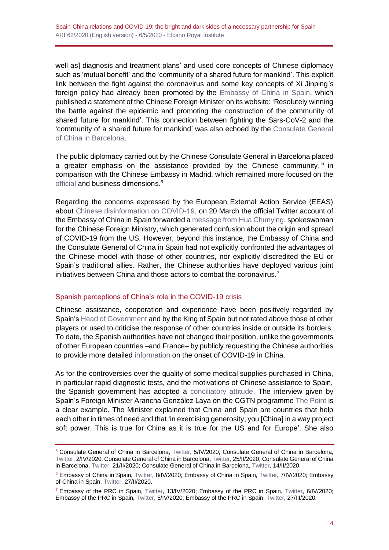well as] diagnosis and treatment plans' and used core concepts of Chinese diplomacy such as 'mutual benefit' and the 'community of a shared future for mankind'. This explicit link between the fight against the coronavirus and some key concepts of Xi Jinping's foreign policy had already been promoted by the [Embassy of China in Spain,](http://es.china-embassy.org/esp/zxgx/t1752052.htm) which published a statement of the Chinese Foreign Minister on its website: 'Resolutely winning the battle against the epidemic and promoting the construction of the community of shared future for mankind'. This connection between fighting the Sars-CoV-2 and the 'community of a shared future for mankind' was also echoed by the [Consulate General](https://twitter.com/ConsulChinaBcn/status/1242049959647723520)  [of China in Barcelona.](https://twitter.com/ConsulChinaBcn/status/1242049959647723520)

The public diplomacy carried out by the Chinese Consulate General in Barcelona placed a greater emphasis on the assistance provided by the Chinese community,<sup>5</sup> in comparison with the Chinese Embassy in Madrid, which remained more focused on the [official](https://twitter.com/chinaembesp/status/1241780367952162818) and business dimensions.<sup>6</sup>

Regarding the concerns expressed by the European External Action Service (EEAS) about [Chinese disinformation on COVID-19,](https://euvsdisinfo.eu/eeas-special-report-update-short-assessment-of-narratives-and-disinformation-around-the-covid-19-pandemic/) on 20 March the official Twitter account of the Embassy of China in Spain forwarded a [message from Hua Chunying,](https://twitter.com/ChinaEmbEsp/status/1241052218935128068) spokeswoman for the Chinese Foreign Ministry, which generated confusion about the origin and spread of COVID-19 from the US. However, beyond this instance, the Embassy of China and the Consulate General of China in Spain had not explicitly confronted the advantages of the Chinese model with those of other countries, nor explicitly discredited the EU or Spain's traditional allies. Rather, the Chinese authorities have deployed various joint initiatives between China and those actors to combat the coronavirus.<sup>7</sup>

### Spanish perceptions of China's role in the COVID-19 crisis

Chinese assistance, cooperation and experience have been positively regarded by Spain'[s Head of Government](https://www.youtube.com/watch?v=fG-Yko75Q4Y) and by the King of Spain but not rated above those of other players or used to criticise the response of other countries inside or outside its borders. To date, the Spanish authorities have not changed their position, unlike the governments of other European countries –and France– by publicly requesting the Chinese authorities to provide more detailed [information](https://elpais.com/internacional/2020-04-20/el-reino-unido-y-francia-encabezan-un-endurecimiento-del-tono-europeo-hacia-china.html) on the onset of COVID-19 in China.

As for the controversies over the quality of some medical supplies purchased in China, in particular rapid diagnostic tests, and the motivations of Chinese assistance to Spain, the Spanish government has adopted a [conciliatory attitude.](https://www.lamoncloa.gob.es/serviciosdeprensa/notasprensa/presidencia/Paginas/2020/260320-covid-test.aspx) The interview given by Spain's Foreign Minister Arancha González Laya on the CGTN programme [The Point](https://www.youtube.com/watch?v=mVZYUsydduc) is a clear example. The Minister explained that China and Spain are countries that help each other in times of need and that 'in exercising generosity, you [China] in a way project soft power. This is true for China as it is true for the US and for Europe'. She also

<sup>5</sup> Consulate General of China in Barcelona, [Twitter,](https://twitter.com/ConsulChinaBcn/status/1246898842336931848) 5/IV/2020; Consulate General of China in Barcelona, [Twitter,](https://twitter.com/ConsulChinaBcn/status/1245748080261107712) 2/IV/2020; Consulate General of China in Barcelona[, Twitter,](https://twitter.com/ConsulChinaBcn/status/1242861921784791040) 25/II/2020; Consulate General of China in Barcelona, [Twitter,](https://twitter.com/ConsulChinaBcn/status/1241338583417577473) 21/II/2020; Consulate General of China in Barcelona[, Twitter,](https://twitter.com/ConsulChinaBcn/status/1238907823569895424) 14/II/2020.

<sup>6</sup> Embassy of China in Spain, [Twitter,](https://twitter.com/ChinaEmbEsp/status/1247834217096110085) 8/IV/2020; Embassy of China in Spain, [Twitter,](https://twitter.com/ChinaEmbEsp/status/1247569871782756354) 7/IV/2020; Embassy of China in Spain[, Twitter,](https://twitter.com/ConsulChinaBcn/status/1243585044435828738) 27/II/2020.

 $^7$  Embassy of the PRC in Spain, [Twitter,](https://twitter.com/ChinaEmbEsp/status/1247177258319609856) 13/IV/2020; Embassy of the PRC in Spain, Twitter, 6/IV/2020; Embassy of the PRC in Spain[, Twitter,](https://twitter.com/ChinaEmbEsp/status/1246769726640054277) 5/IV/2020; Embassy of the PRC in Spain[, Twitter,](https://twitter.com/ChinaEmbEsp/status/1243477955243884545) 27/III/2020.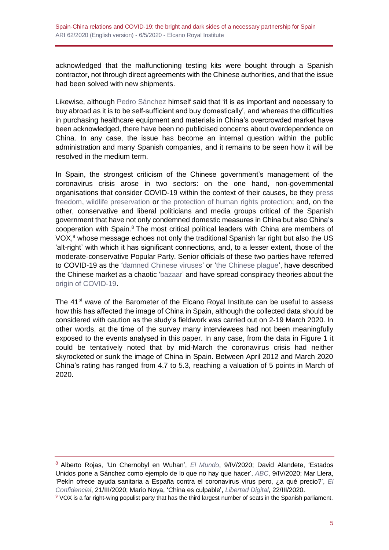acknowledged that the malfunctioning testing kits were bought through a Spanish contractor, not through direct agreements with the Chinese authorities, and that the issue had been solved with new shipments.

Likewise, although [Pedro Sánchez](https://www.lamoncloa.gob.es/presidente/intervenciones/Paginas/2020/prsp28032020.aspx) himself said that 'it is as important and necessary to buy abroad as it is to be self-sufficient and buy domestically', and whereas the difficulties in purchasing healthcare equipment and materials in China's overcrowded market have been acknowledged, there have been no publicised concerns about overdependence on China. In any case, the issue has become an internal question within the public administration and many Spanish companies, and it remains to be seen how it will be resolved in the medium term.

In Spain, the strongest criticism of the Chinese government's management of the coronavirus crisis arose in two sectors: on the one hand, non-governmental organisations that consider COVID-19 within the context of their causes, be they [press](https://www.rsf-es.org/news/china-coronavirus-si-la-prensa-china-fuera-libre-el-coronavirus-no-seria-una-pandemia-sostiene-rsf/)  [freedom,](https://www.rsf-es.org/news/china-coronavirus-si-la-prensa-china-fuera-libre-el-coronavirus-no-seria-una-pandemia-sostiene-rsf/) [wildlife preservation](https://www.wwf.es/informate/actualidad/?53300/Apoyamos-la-prohibicion-temporal-de-China-de-comercializar-animales-silvestres--por-sospecha-de-vinculo-con-el-coronavirus) or [the protection of human rights protection;](https://www.es.amnesty.org/en-que-estamos/blog/historia/articulo/coronavirus-por-que-no-hay-que-hacerle-la-ola-a-china/) and, on the other, conservative and liberal politicians and media groups critical of the Spanish government that have not only condemned domestic measures in China but also China's cooperation with Spain.<sup>8</sup> The most critical political leaders with China are members of VOX, <sup>9</sup> whose message echoes not only the traditional Spanish far right but also the US 'alt-right' with which it has significant connections, and, to a lesser extent, those of the moderate-conservative Popular Party. Senior officials of these two parties have referred to COVID-19 as the 'damned [Chinese viruses'](https://www.elindependiente.com/politica/2020/03/14/el-polemico-video-de-ortega-smith-en-cuarentena-recuperandose-de-los-malditos-virus-chinos/) or ['the Chinese plague'](https://twitter.com/Rafa_Hernando/status/1247457954552516608), have described the Chinese market as a chaotic ['bazaar'](https://www.antena3.com/noticias/espana/isabel-diaz-ayuso-comprar-en-china-material-para-el-coronavirus-es-como-un-mercado-persa_202003255e7b6e9e4626fc0001c0da36.html) and have spread conspiracy theories about the [origin of COVID-19.](https://twitter.com/FMartinezVidal_/status/1244766515355885570)

The 41<sup>st</sup> wave of the Barometer of the Elcano Royal Institute can be useful to assess how this has affected the image of China in Spain, although the collected data should be considered with caution as the study's fieldwork was carried out on 2-19 March 2020. In other words, at the time of the survey many interviewees had not been meaningfully exposed to the events analysed in this paper. In any case, from the data in Figure 1 it could be tentatively noted that by mid-March the coronavirus crisis had neither skyrocketed or sunk the image of China in Spain. Between April 2012 and March 2020 China's rating has ranged from 4.7 to 5.3, reaching a valuation of 5 points in March of 2020.

<sup>8</sup> Alberto Rojas, 'Un Chernobyl en Wuhan', *[El Mundo](https://www.elmundo.es/internacional/2020/04/09/5e8f8233fc6c8367198b45df.html)*, 9/IV/2020; David Alandete, 'Estados Unidos pone a Sánchez como ejemplo de lo que no hay que hacer', *[ABC](https://www.abc.es/sociedad/abci-estados-unidos-pone-sanchez-como-ejemplo-no-hacer-202004082127_noticia.html)*, 9/IV/2020; Mar Llera, 'Pekín ofrece ayuda sanitaria a España contra el coronavirus virus pero, ¿a qué precio?', *[El](https://blogs.elconfidencial.com/mundo/tribuna-internacional/2020-03-21/china-ayuda-espana-covid19-pero-a-que-precio_2487643/)  [Confidencial](https://blogs.elconfidencial.com/mundo/tribuna-internacional/2020-03-21/china-ayuda-espana-covid19-pero-a-que-precio_2487643/)*, 21/III/2020; Mario Noya, 'China es culpable', *[Libertad Digital](https://www.libertaddigital.com/opinion/mario-noya/china-es-culpable-coronavirus-li-wenliang-wuhan-covid-19-virus-chino-90292/)*, 22/III/2020.

<sup>9</sup> VOX is a far right-wing populist party that has the third largest number of seats in the Spanish parliament.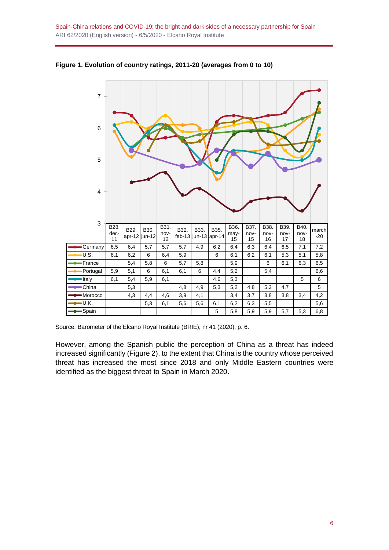

**Figure 1. Evolution of country ratings, 2011-20 (averages from 0 to 10)**

Source: Barometer of the Elcano Royal Institute (BRIE), nr 41 (2020), p. 6.

However, among the Spanish public the perception of China as a threat has indeed increased significantly (Figure 2), to the extent that China is the country whose perceived threat has increased the most since 2018 and only Middle Eastern countries were identified as the biggest threat to Spain in March 2020.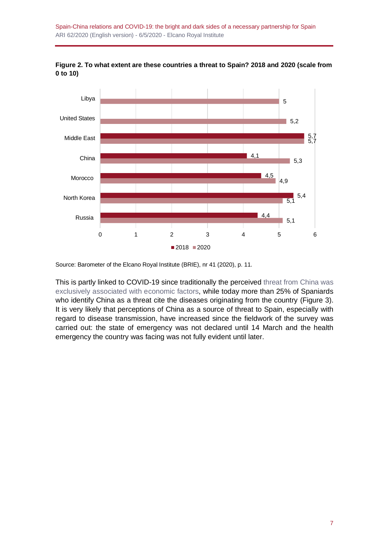Spain-China relations and COVID-19: the bright and dark sides of a necessary partnership for Spain ARI 62/2020 (English version) - 6/5/2020 - Elcano Royal Institute



**Figure 2. To what extent are these countries a threat to Spain? 2018 and 2020 (scale from 0 to 10)**

Source: Barometer of the Elcano Royal Institute (BRIE), nr 41 (2020), p. 11.

This is partly linked to COVID-19 since traditionally the perceived threat [from China was](http://www.realinstitutoelcano.org/wps/portal/rielcano_es/publicacion?WCM_GLOBAL_CONTEXT=/elcano/elcano_es/publicaciones/informe-elcano-24-relaciones-espana-china)  [exclusively associated with economic factors,](http://www.realinstitutoelcano.org/wps/portal/rielcano_es/publicacion?WCM_GLOBAL_CONTEXT=/elcano/elcano_es/publicaciones/informe-elcano-24-relaciones-espana-china) while today more than 25% of Spaniards who identify China as a threat cite the diseases originating from the country (Figure 3). It is very likely that perceptions of China as a source of threat to Spain, especially with regard to disease transmission, have increased since the fieldwork of the survey was carried out: the state of emergency was not declared until 14 March and the health emergency the country was facing was not fully evident until later.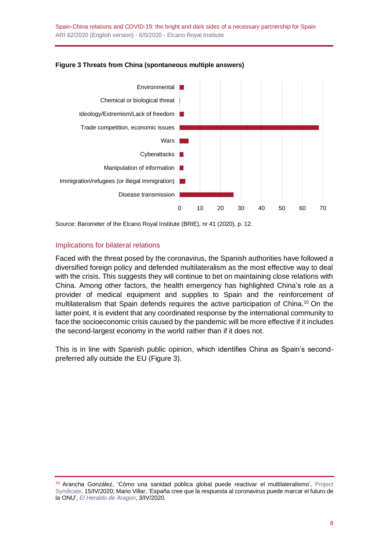

#### **Figure 3 Threats from China (spontaneous multiple answers)**

Source: Barometer of the Elcano Royal Institute (BRIE), nr 41 (2020), p. 12.

#### Implications for bilateral relations

Faced with the threat posed by the coronavirus, the Spanish authorities have followed a diversified foreign policy and defended multilateralism as the most effective way to deal with the crisis. This suggests they will continue to bet on maintaining close relations with China. Among other factors, the health emergency has highlighted China's role as a provider of medical equipment and supplies to Spain and the reinforcement of multilateralism that Spain defends requires the active participation of China.<sup>10</sup> On the latter point, it is evident that any coordinated response by the international community to face the socioeconomic crisis caused by the pandemic will be more effective if it includes the second-largest economy in the world rather than if it does not.

This is in line with Spanish public opinion, which identifies China as Spain's secondpreferred ally outside the EU (Figure 3).

<sup>10</sup> Arancha González, 'Cómo una sanidad pública global puede reactivar el multilateralismo', [Project](https://www.project-syndicate.org/commentary/how-covid19-threat-can-revive-multilateralism-by-arancha-gonzalez-2020-04/spanish)  [Syndicate,](https://www.project-syndicate.org/commentary/how-covid19-threat-can-revive-multilateralism-by-arancha-gonzalez-2020-04/spanish) 15/IV/2020; Mario Villar, 'España cree que la respuesta al coronavirus puede marcar el futuro de la ONU', *[El Heraldo de Aragon](https://www.heraldo.es/noticias/internacional/2020/04/03/espana-cree-que-la-respuesta-al-coronavirus-puede-marcar-el-futuro-de-la-onu-1367863.html)*, 3/IV/2020.